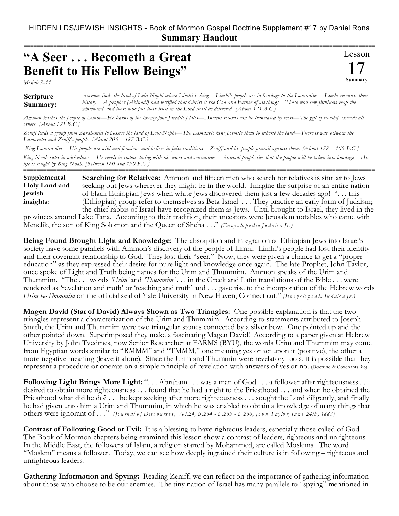===========================================================================================================

## **"A Seer . . . Becometh a Great Benefit to His Fellow Beings"**

*Mosiah 7–11*

## **Scripture Summary:** =========================================================================================================== *Ammon finds the land of Lehi-Nephi where Limhi is king—Limhi's people are in bondage to the Lamanites—Limhi recounts their history—A prophet (Abinadi) had testified that Christ is the God and Father of all things—Those who sow filthiness reap the whirlwind, and those who put their trust in the Lord shall be delivered. [About 121 B.C.]*

Lesson

17 **Summary**

*Ammon teaches the people of Limhi—He learns of the twenty-four Jaredite plates—Ancient records can be translated by seers—The gift of seership exceeds all others. [About 121 B.C.]*

*Zeniff leads a group from Zarahemla to possess the land of Lehi-Nephi—The Lamanite king permits them to inherit the land—There is war between the Lamanites and Zeniff's people. [About 200—187 B.C.]*

 *King Laman dies—His people are wild and ferocious and believe in false traditions—Zeniff and his people prevail against them. [About 178—160 B.C.] King Noah rules in wickedness—He revels in riotous living with his wives and concubines—Abinadi prophesies that the people will be taken into bondage—His life is sought by King Noah. [Between 160 and 150 B.C.]*

===========================================================================================================

**Searching for Relatives:** Ammon and fifteen men who search for relatives is similar to Jews seeking out Jews wherever they might be in the world. Imagine the surprise of an entire nation of black Ethiopian Jews when white Jews discovered them just a few decades ago! ". . . this (Ethiopian) group refer to themselves as Beta Israel . . . They practice an early form of Judaism; the chief rabbis of Israel have recognized them as Jews. Until brought to Israel, they lived in the **Supplemental Holy Land and Jewish insights:**

provinces around Lake Tana. According to their tradition, their ancestors were Jerusalem notables who came with Menelik, the son of King Solomon and the Queen of Sheba . . ." *(En c y c lo p e d ia Ju d aic a Jr.)*

**Being Found Brought Light and Knowledge:** The absorption and integration of Ethiopian Jews into Israel's society have some parallels with Ammon's discovery of the people of Limhi. Limhi's people had lost their identity and their covenant relationship to God. They lost their "seer." Now, they were given a chance to get a "proper education" as they expressed their desire for pure light and knowledge once again. The late Prophet, John Taylor, once spoke of Light and Truth being names for the Urim and Thummim. Ammon speaks of the Urim and Thummim. "The . . . words *'Urim'* and *'Thummim'* . . . in the Greek and Latin translations of the Bible . . . were rendered as 'revelation and truth' or 'teaching and truth' and . . . gave rise to the incorporation of the Hebrew words *Urim ve-Thummim* on the official seal of Yale University in New Haven, Connecticut." *(En c y c lo p e d ia Ju d aic a Jr.)*

**Magen David (Star of David) Always Shown as Two Triangles:** One possible explanation is that the two triangles represent a characterization of the Urim and Thummim. According to statements attributed to Joseph Smith, the Urim and Thummim were two triangular stones connected by a silver bow. One pointed up and the other pointed down. Superimposed they make a fascinating Magen David! According to a paper given at Hebrew University by John Tvedtnes, now Senior Researcher at FARMS (BYU), the words Urim and Thummim may come from Egyptian words similar to "RMMM" and "TMMM," one meaning yes or act upon it (positive), the other a more negative meaning (leave it alone). Since the Urim and Thummin were revelatory tools, it is possible that they represent a procedure or operate on a simple principle of revelation with answers of yes or no. (Doctrine & Covenants 9:8)

**Following Light Brings More Light:** ". . . Abraham . . . was a man of God . . . a follower after righteousness . . . desired to obtain more righteousness . . . found that he had a right to the Priesthood . . . and when he obtained the Priesthood what did he do? . . . he kept seeking after more righteousness . . . sought the Lord diligently, and finally he had given unto him a Urim and Thummim, in which he was enabled to obtain a knowledge of many things that others were ignorant of ..." (Journal of Discourses, Vol.24, p.264 - p.265 - p.266, John Taylor, June 24th, 1883)

**Contrast of Following Good or Evil:** It is a blessing to have righteous leaders, especially those called of God. The Book of Mormon chapters being examined this lesson show a contrast of leaders, righteous and unrighteous. In the Middle East, the followers of Islam, a religion started by Mohammed, are called Moslems. The word "Moslem" means a follower. Today, we can see how deeply ingrained their culture is in following – righteous and unrighteous leaders.

**Gathering Information and Spying:** Reading Zeniff, we can reflect on the importance of gathering information about those who choose to be our enemies. The tiny nation of Israel has many parallels to "spying" mentioned in